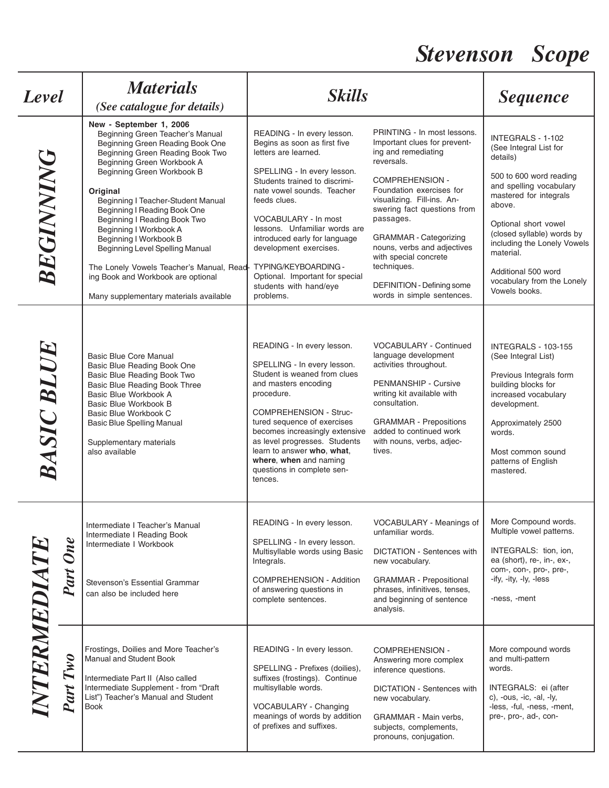## *Stevenson Scope*

| Level        |                    | <b>Materials</b><br>(See catalogue for details)                                                                                                                                                                                                                                                                                                                                                                                                                                                                                       | <b>Skills</b>                                                                                                                                                                                                                                                                                                                                                                                                          |                                                                                                                                                                                                                                                                                                                                                                                                             | <b>Sequence</b>                                                                                                                                                                                                                                                                                                           |
|--------------|--------------------|---------------------------------------------------------------------------------------------------------------------------------------------------------------------------------------------------------------------------------------------------------------------------------------------------------------------------------------------------------------------------------------------------------------------------------------------------------------------------------------------------------------------------------------|------------------------------------------------------------------------------------------------------------------------------------------------------------------------------------------------------------------------------------------------------------------------------------------------------------------------------------------------------------------------------------------------------------------------|-------------------------------------------------------------------------------------------------------------------------------------------------------------------------------------------------------------------------------------------------------------------------------------------------------------------------------------------------------------------------------------------------------------|---------------------------------------------------------------------------------------------------------------------------------------------------------------------------------------------------------------------------------------------------------------------------------------------------------------------------|
| BEGINNING    |                    | New - September 1, 2006<br>Beginning Green Teacher's Manual<br>Beginning Green Reading Book One<br>Beginning Green Reading Book Two<br>Beginning Green Workbook A<br>Beginning Green Workbook B<br>Original<br>Beginning I Teacher-Student Manual<br>Beginning I Reading Book One<br>Beginning I Reading Book Two<br>Beginning I Workbook A<br>Beginning I Workbook B<br>Beginning Level Spelling Manual<br>The Lonely Vowels Teacher's Manual, Read-<br>ing Book and Workbook are optional<br>Many supplementary materials available | READING - In every lesson.<br>Begins as soon as first five<br>letters are learned.<br>SPELLING - In every lesson.<br>Students trained to discrimi-<br>nate vowel sounds. Teacher<br>feeds clues.<br>VOCABULARY - In most<br>lessons. Unfamiliar words are<br>introduced early for language<br>development exercises.<br>TYPING/KEYBOARDING -<br>Optional. Important for special<br>students with hand/eye<br>problems. | PRINTING - In most lessons.<br>Important clues for prevent-<br>ing and remediating<br>reversals.<br><b>COMPREHENSION -</b><br>Foundation exercises for<br>visualizing. Fill-ins. An-<br>swering fact questions from<br>passages.<br><b>GRAMMAR</b> - Categorizing<br>nouns, verbs and adjectives<br>with special concrete<br>techniques.<br><b>DEFINITION - Defining some</b><br>words in simple sentences. | INTEGRALS - 1-102<br>(See Integral List for<br>details)<br>500 to 600 word reading<br>and spelling vocabulary<br>mastered for integrals<br>above.<br>Optional short vowel<br>(closed syllable) words by<br>including the Lonely Vowels<br>material.<br>Additional 500 word<br>vocabulary from the Lonely<br>Vowels books. |
| BASIC BLUE   |                    | Basic Blue Core Manual<br>Basic Blue Reading Book One<br>Basic Blue Reading Book Two<br>Basic Blue Reading Book Three<br>Basic Blue Workbook A<br>Basic Blue Workbook B<br>Basic Blue Workbook C<br><b>Basic Blue Spelling Manual</b><br>Supplementary materials<br>also available                                                                                                                                                                                                                                                    | READING - In every lesson.<br>SPELLING - In every lesson.<br>Student is weaned from clues<br>and masters encoding<br>procedure.<br><b>COMPREHENSION - Struc-</b><br>tured sequence of exercises<br>becomes increasingly extensive<br>as level progresses. Students<br>learn to answer who, what,<br>where, when and naming<br>questions in complete sen-<br>tences.                                                    | VOCABULARY - Continued<br>language development<br>activities throughout.<br>PENMANSHIP - Cursive<br>writing kit available with<br>consultation.<br><b>GRAMMAR</b> - Prepositions<br>added to continued work<br>with nouns, verbs, adjec-<br>tives.                                                                                                                                                          | <b>INTEGRALS - 103-155</b><br>(See Integral List)<br>Previous Integrals form<br>building blocks for<br>increased vocabulary<br>development.<br>Approximately 2500<br>words.<br>Most common sound<br>patterns of English<br>mastered.                                                                                      |
| INTERMEDIATE | <b>One</b><br>Part | Intermediate I Teacher's Manual<br>Intermediate I Reading Book<br>Intermediate I Workbook<br>Stevenson's Essential Grammar<br>can also be included here                                                                                                                                                                                                                                                                                                                                                                               | READING - In every lesson.<br>SPELLING - In every lesson.<br>Multisyllable words using Basic<br>Integrals.<br>COMPREHENSION - Addition<br>of answering questions in<br>complete sentences.                                                                                                                                                                                                                             | VOCABULARY - Meanings of<br>unfamiliar words.<br><b>DICTATION - Sentences with</b><br>new vocabulary.<br><b>GRAMMAR</b> - Prepositional<br>phrases, infinitives, tenses,<br>and beginning of sentence<br>analysis.                                                                                                                                                                                          | More Compound words.<br>Multiple vowel patterns.<br>INTEGRALS: tion, ion,<br>ea (short), re-, in-, ex-,<br>com-, con-, pro-, pre-,<br>-ify, -ity, -ly, -less<br>-ness, -ment                                                                                                                                              |
|              | Part Two           | Frostings, Doilies and More Teacher's<br>Manual and Student Book<br>Intermediate Part II (Also called<br>Intermediate Supplement - from "Draft<br>List") Teacher's Manual and Student<br><b>Book</b>                                                                                                                                                                                                                                                                                                                                  | READING - In every lesson.<br>SPELLING - Prefixes (doilies),<br>suffixes (frostings). Continue<br>multisyllable words.<br>VOCABULARY - Changing<br>meanings of words by addition<br>of prefixes and suffixes.                                                                                                                                                                                                          | <b>COMPREHENSION -</b><br>Answering more complex<br>inference questions.<br>DICTATION - Sentences with<br>new vocabulary.<br>GRAMMAR - Main verbs,<br>subjects, complements,<br>pronouns, conjugation.                                                                                                                                                                                                      | More compound words<br>and multi-pattern<br>words.<br>INTEGRALS: ei (after<br>c), -ous, -ic, -al, -ly,<br>-less, -ful, -ness, -ment,<br>pre-, pro-, ad-, con-                                                                                                                                                             |